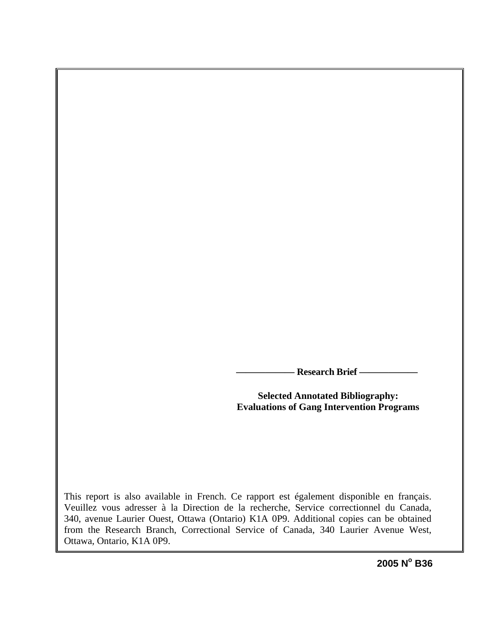**Research Brief —** 

**Selected Annotated Bibliography: Evaluations of Gang Intervention Programs** 

This report is also available in French. Ce rapport est également disponible en français. Veuillez vous adresser à la Direction de la recherche, Service correctionnel du Canada, 340, avenue Laurier Ouest, Ottawa (Ontario) K1A 0P9. Additional copies can be obtained from the Research Branch, Correctional Service of Canada, 340 Laurier Avenue West, Ottawa, Ontario, K1A 0P9.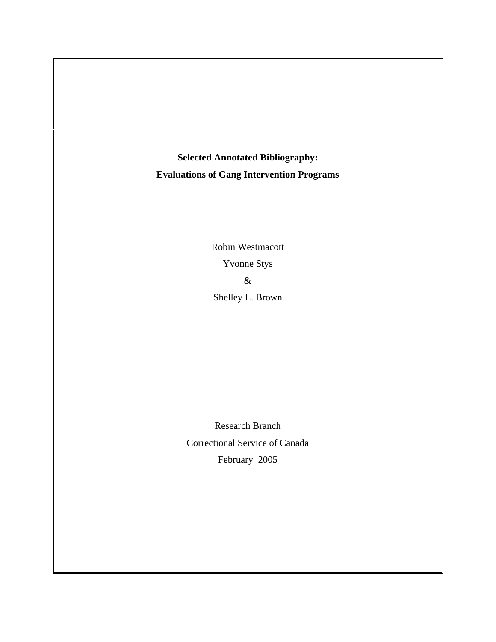**Selected Annotated Bibliography: Evaluations of Gang Intervention Programs** 

> Robin Westmacott Yvonne Stys & Shelley L. Brown

Research Branch Correctional Service of Canada February 2005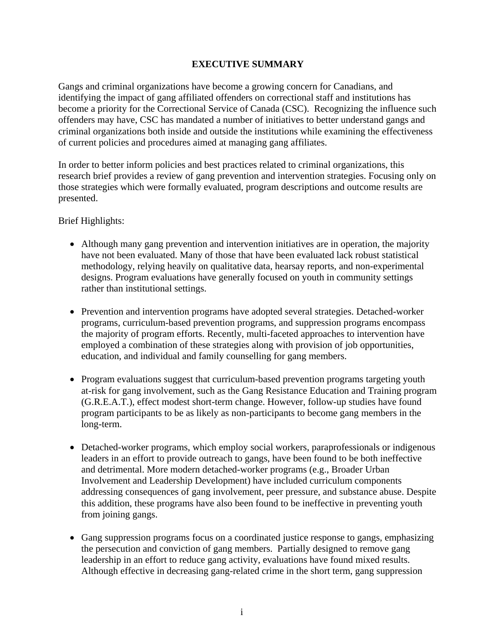# **EXECUTIVE SUMMARY**

Gangs and criminal organizations have become a growing concern for Canadians, and identifying the impact of gang affiliated offenders on correctional staff and institutions has become a priority for the Correctional Service of Canada (CSC). Recognizing the influence such offenders may have, CSC has mandated a number of initiatives to better understand gangs and criminal organizations both inside and outside the institutions while examining the effectiveness of current policies and procedures aimed at managing gang affiliates.

In order to better inform policies and best practices related to criminal organizations, this research brief provides a review of gang prevention and intervention strategies. Focusing only on those strategies which were formally evaluated, program descriptions and outcome results are presented.

Brief Highlights:

- Although many gang prevention and intervention initiatives are in operation, the majority have not been evaluated. Many of those that have been evaluated lack robust statistical methodology, relying heavily on qualitative data, hearsay reports, and non-experimental designs. Program evaluations have generally focused on youth in community settings rather than institutional settings.
- Prevention and intervention programs have adopted several strategies. Detached-worker programs, curriculum-based prevention programs, and suppression programs encompass the majority of program efforts. Recently, multi-faceted approaches to intervention have employed a combination of these strategies along with provision of job opportunities, education, and individual and family counselling for gang members.
- Program evaluations suggest that curriculum-based prevention programs targeting youth at-risk for gang involvement, such as the Gang Resistance Education and Training program (G.R.E.A.T.), effect modest short-term change. However, follow-up studies have found program participants to be as likely as non-participants to become gang members in the long-term.
- Detached-worker programs, which employ social workers, paraprofessionals or indigenous leaders in an effort to provide outreach to gangs, have been found to be both ineffective and detrimental. More modern detached-worker programs (e.g., Broader Urban Involvement and Leadership Development) have included curriculum components addressing consequences of gang involvement, peer pressure, and substance abuse. Despite this addition, these programs have also been found to be ineffective in preventing youth from joining gangs.
- Gang suppression programs focus on a coordinated justice response to gangs, emphasizing the persecution and conviction of gang members. Partially designed to remove gang leadership in an effort to reduce gang activity, evaluations have found mixed results. Although effective in decreasing gang-related crime in the short term, gang suppression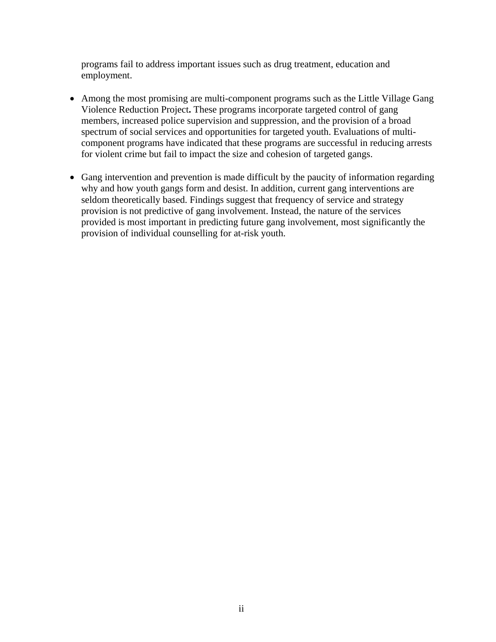programs fail to address important issues such as drug treatment, education and employment.

- Among the most promising are multi-component programs such as the Little Village Gang Violence Reduction Project**.** These programs incorporate targeted control of gang members, increased police supervision and suppression, and the provision of a broad spectrum of social services and opportunities for targeted youth. Evaluations of multicomponent programs have indicated that these programs are successful in reducing arrests for violent crime but fail to impact the size and cohesion of targeted gangs.
- Gang intervention and prevention is made difficult by the paucity of information regarding why and how youth gangs form and desist. In addition, current gang interventions are seldom theoretically based. Findings suggest that frequency of service and strategy provision is not predictive of gang involvement. Instead, the nature of the services provided is most important in predicting future gang involvement, most significantly the provision of individual counselling for at-risk youth.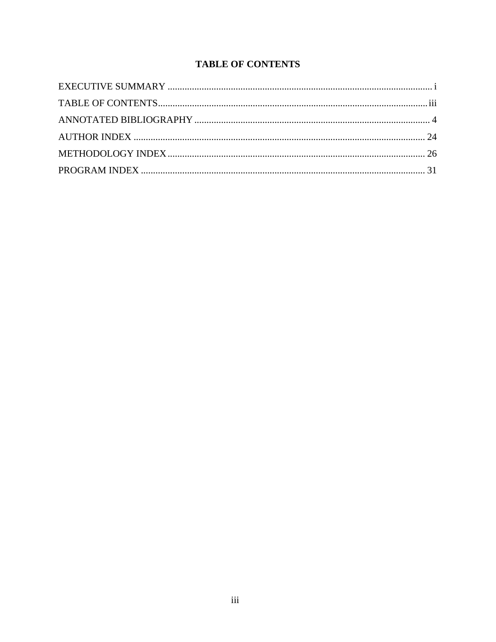# **TABLE OF CONTENTS**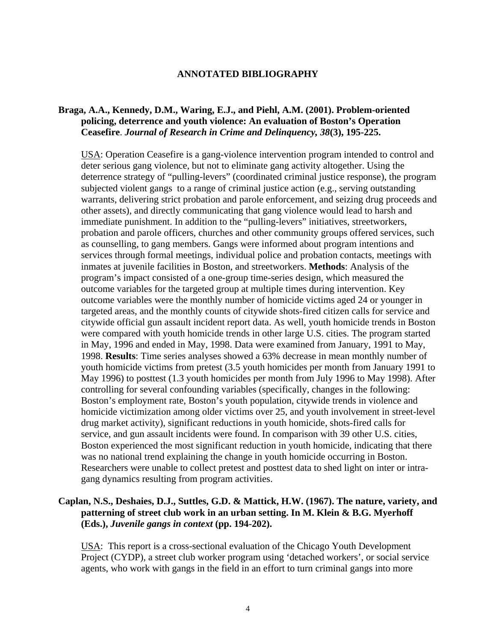#### **ANNOTATED BIBLIOGRAPHY**

#### <span id="page-5-0"></span>**Braga, A.A., Kennedy, D.M., Waring, E.J., and Piehl, A.M. (2001). Problem-oriented policing, deterrence and youth violence: An evaluation of Boston's Operation Ceasefire**. *Journal of Research in Crime and Delinquency, 38***(3), 195-225.**

USA: Operation Ceasefire is a gang-violence intervention program intended to control and deter serious gang violence, but not to eliminate gang activity altogether. Using the deterrence strategy of "pulling-levers" (coordinated criminal justice response), the program subjected violent gangs to a range of criminal justice action (e.g., serving outstanding warrants, delivering strict probation and parole enforcement, and seizing drug proceeds and other assets), and directly communicating that gang violence would lead to harsh and immediate punishment. In addition to the "pulling-levers" initiatives, streetworkers, probation and parole officers, churches and other community groups offered services, such as counselling, to gang members. Gangs were informed about program intentions and services through formal meetings, individual police and probation contacts, meetings with inmates at juvenile facilities in Boston, and streetworkers. **Methods**: Analysis of the program's impact consisted of a one-group time-series design, which measured the outcome variables for the targeted group at multiple times during intervention. Key outcome variables were the monthly number of homicide victims aged 24 or younger in targeted areas, and the monthly counts of citywide shots-fired citizen calls for service and citywide official gun assault incident report data. As well, youth homicide trends in Boston were compared with youth homicide trends in other large U.S. cities. The program started in May, 1996 and ended in May, 1998. Data were examined from January, 1991 to May, 1998. **Results**: Time series analyses showed a 63% decrease in mean monthly number of youth homicide victims from pretest (3.5 youth homicides per month from January 1991 to May 1996) to posttest (1.3 youth homicides per month from July 1996 to May 1998). After controlling for several confounding variables (specifically, changes in the following: Boston's employment rate, Boston's youth population, citywide trends in violence and homicide victimization among older victims over 25, and youth involvement in street-level drug market activity), significant reductions in youth homicide, shots-fired calls for service, and gun assault incidents were found. In comparison with 39 other U.S. cities, Boston experienced the most significant reduction in youth homicide, indicating that there was no national trend explaining the change in youth homicide occurring in Boston. Researchers were unable to collect pretest and posttest data to shed light on inter or intragang dynamics resulting from program activities.

#### **Caplan, N.S., Deshaies, D.J., Suttles, G.D. & Mattick, H.W. (1967). The nature, variety, and patterning of street club work in an urban setting. In M. Klein & B.G. Myerhoff (Eds.),** *Juvenile gangs in context* **(pp. 194-202).**

USA: This report is a cross-sectional evaluation of the Chicago Youth Development Project (CYDP), a street club worker program using 'detached workers', or social service agents, who work with gangs in the field in an effort to turn criminal gangs into more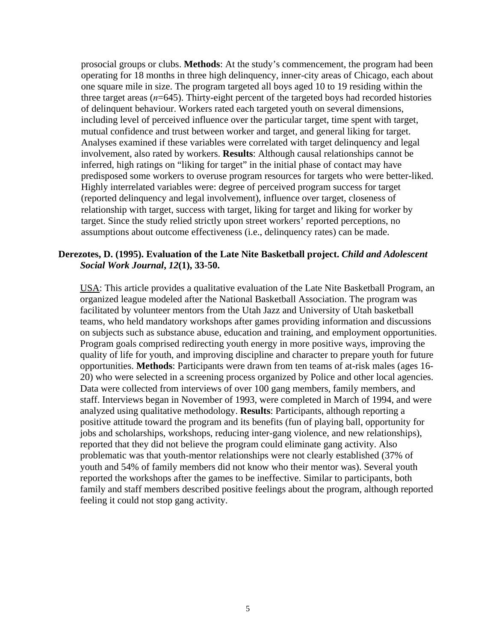prosocial groups or clubs. **Methods**: At the study's commencement, the program had been operating for 18 months in three high delinquency, inner-city areas of Chicago, each about one square mile in size. The program targeted all boys aged 10 to 19 residing within the three target areas  $(n=645)$ . Thirty-eight percent of the targeted boys had recorded histories of delinquent behaviour. Workers rated each targeted youth on several dimensions, including level of perceived influence over the particular target, time spent with target, mutual confidence and trust between worker and target, and general liking for target. Analyses examined if these variables were correlated with target delinquency and legal involvement, also rated by workers. **Results**: Although causal relationships cannot be inferred, high ratings on "liking for target" in the initial phase of contact may have predisposed some workers to overuse program resources for targets who were better-liked. Highly interrelated variables were: degree of perceived program success for target (reported delinquency and legal involvement), influence over target, closeness of relationship with target, success with target, liking for target and liking for worker by target. Since the study relied strictly upon street workers' reported perceptions, no assumptions about outcome effectiveness (i.e., delinquency rates) can be made.

#### **Derezotes, D. (1995). Evaluation of the Late Nite Basketball project.** *Child and Adolescent Social Work Journal***,** *12***(1), 33-50.**

USA: This article provides a qualitative evaluation of the Late Nite Basketball Program, an organized league modeled after the National Basketball Association. The program was facilitated by volunteer mentors from the Utah Jazz and University of Utah basketball teams, who held mandatory workshops after games providing information and discussions on subjects such as substance abuse, education and training, and employment opportunities. Program goals comprised redirecting youth energy in more positive ways, improving the quality of life for youth, and improving discipline and character to prepare youth for future opportunities. **Methods**: Participants were drawn from ten teams of at-risk males (ages 16- 20) who were selected in a screening process organized by Police and other local agencies. Data were collected from interviews of over 100 gang members, family members, and staff. Interviews began in November of 1993, were completed in March of 1994, and were analyzed using qualitative methodology. **Results**: Participants, although reporting a positive attitude toward the program and its benefits (fun of playing ball, opportunity for jobs and scholarships, workshops, reducing inter-gang violence, and new relationships), reported that they did not believe the program could eliminate gang activity. Also problematic was that youth-mentor relationships were not clearly established (37% of youth and 54% of family members did not know who their mentor was). Several youth reported the workshops after the games to be ineffective. Similar to participants, both family and staff members described positive feelings about the program, although reported feeling it could not stop gang activity.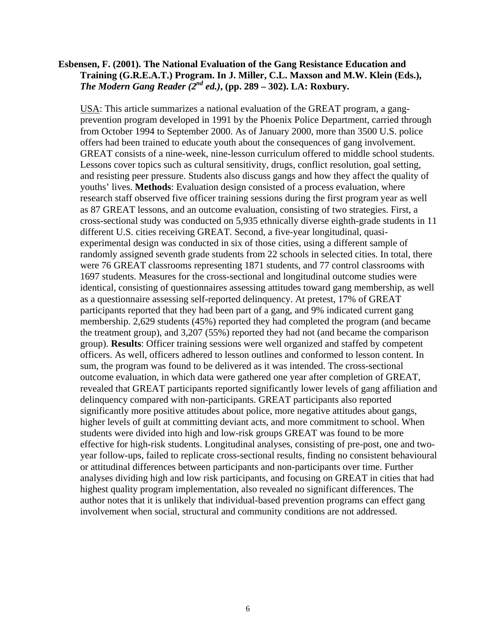#### **Esbensen, F. (2001). The National Evaluation of the Gang Resistance Education and Training (G.R.E.A.T.) Program. In J. Miller, C.L. Maxson and M.W. Klein (Eds.),**  *The Modern Gang Reader*  $\overline{Q}^{nd}$  *ed.*), (pp. 289 – 302). LA: Roxbury.

USA: This article summarizes a national evaluation of the GREAT program, a gangprevention program developed in 1991 by the Phoenix Police Department, carried through from October 1994 to September 2000. As of January 2000, more than 3500 U.S. police offers had been trained to educate youth about the consequences of gang involvement. GREAT consists of a nine-week, nine-lesson curriculum offered to middle school students. Lessons cover topics such as cultural sensitivity, drugs, conflict resolution, goal setting, and resisting peer pressure. Students also discuss gangs and how they affect the quality of youths' lives. **Methods**: Evaluation design consisted of a process evaluation, where research staff observed five officer training sessions during the first program year as well as 87 GREAT lessons, and an outcome evaluation, consisting of two strategies. First, a cross-sectional study was conducted on 5,935 ethnically diverse eighth-grade students in 11 different U.S. cities receiving GREAT. Second, a five-year longitudinal, quasiexperimental design was conducted in six of those cities, using a different sample of randomly assigned seventh grade students from 22 schools in selected cities. In total, there were 76 GREAT classrooms representing 1871 students, and 77 control classrooms with 1697 students. Measures for the cross-sectional and longitudinal outcome studies were identical, consisting of questionnaires assessing attitudes toward gang membership, as well as a questionnaire assessing self-reported delinquency. At pretest, 17% of GREAT participants reported that they had been part of a gang, and 9% indicated current gang membership. 2,629 students (45%) reported they had completed the program (and became the treatment group), and 3,207 (55%) reported they had not (and became the comparison group). **Results**: Officer training sessions were well organized and staffed by competent officers. As well, officers adhered to lesson outlines and conformed to lesson content. In sum, the program was found to be delivered as it was intended. The cross-sectional outcome evaluation, in which data were gathered one year after completion of GREAT, revealed that GREAT participants reported significantly lower levels of gang affiliation and delinquency compared with non-participants. GREAT participants also reported significantly more positive attitudes about police, more negative attitudes about gangs, higher levels of guilt at committing deviant acts, and more commitment to school. When students were divided into high and low-risk groups GREAT was found to be more effective for high-risk students. Longitudinal analyses, consisting of pre-post, one and twoyear follow-ups, failed to replicate cross-sectional results, finding no consistent behavioural or attitudinal differences between participants and non-participants over time. Further analyses dividing high and low risk participants, and focusing on GREAT in cities that had highest quality program implementation, also revealed no significant differences. The author notes that it is unlikely that individual-based prevention programs can effect gang involvement when social, structural and community conditions are not addressed.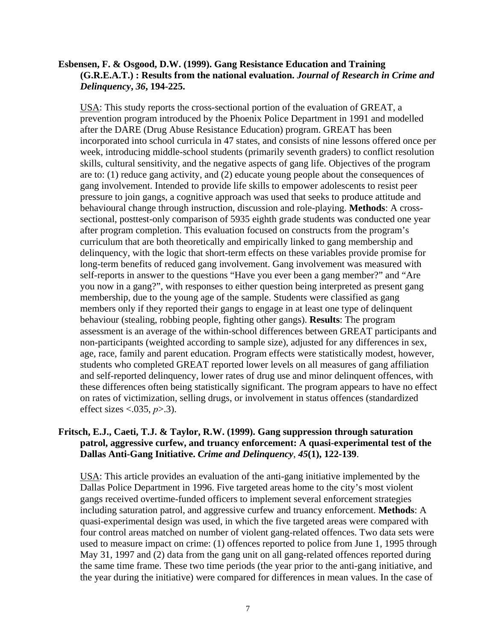#### **Esbensen, F. & Osgood, D.W. (1999). Gang Resistance Education and Training (G.R.E.A.T.) : Results from the national evaluation.** *Journal of Research in Crime and Delinquency***,** *36***, 194-225.**

USA: This study reports the cross-sectional portion of the evaluation of GREAT, a prevention program introduced by the Phoenix Police Department in 1991 and modelled after the DARE (Drug Abuse Resistance Education) program. GREAT has been incorporated into school curricula in 47 states, and consists of nine lessons offered once per week, introducing middle-school students (primarily seventh graders) to conflict resolution skills, cultural sensitivity, and the negative aspects of gang life. Objectives of the program are to: (1) reduce gang activity, and (2) educate young people about the consequences of gang involvement. Intended to provide life skills to empower adolescents to resist peer pressure to join gangs, a cognitive approach was used that seeks to produce attitude and behavioural change through instruction, discussion and role-playing. **Methods**: A crosssectional, posttest-only comparison of 5935 eighth grade students was conducted one year after program completion. This evaluation focused on constructs from the program's curriculum that are both theoretically and empirically linked to gang membership and delinquency, with the logic that short-term effects on these variables provide promise for long-term benefits of reduced gang involvement. Gang involvement was measured with self-reports in answer to the questions "Have you ever been a gang member?" and "Are you now in a gang?", with responses to either question being interpreted as present gang membership, due to the young age of the sample. Students were classified as gang members only if they reported their gangs to engage in at least one type of delinquent behaviour (stealing, robbing people, fighting other gangs). **Results**: The program assessment is an average of the within-school differences between GREAT participants and non-participants (weighted according to sample size), adjusted for any differences in sex, age, race, family and parent education. Program effects were statistically modest, however, students who completed GREAT reported lower levels on all measures of gang affiliation and self-reported delinquency, lower rates of drug use and minor delinquent offences, with these differences often being statistically significant. The program appears to have no effect on rates of victimization, selling drugs, or involvement in status offences (standardized effect sizes <.035, *p*>.3).

## **Fritsch, E.J., Caeti, T.J. & Taylor, R.W. (1999). Gang suppression through saturation patrol, aggressive curfew, and truancy enforcement: A quasi-experimental test of the Dallas Anti-Gang Initiative.** *Crime and Delinquency*, *45***(1), 122-139**.

USA: This article provides an evaluation of the anti-gang initiative implemented by the Dallas Police Department in 1996. Five targeted areas home to the city's most violent gangs received overtime-funded officers to implement several enforcement strategies including saturation patrol, and aggressive curfew and truancy enforcement. **Methods**: A quasi-experimental design was used, in which the five targeted areas were compared with four control areas matched on number of violent gang-related offences. Two data sets were used to measure impact on crime: (1) offences reported to police from June 1, 1995 through May 31, 1997 and (2) data from the gang unit on all gang-related offences reported during the same time frame. These two time periods (the year prior to the anti-gang initiative, and the year during the initiative) were compared for differences in mean values. In the case of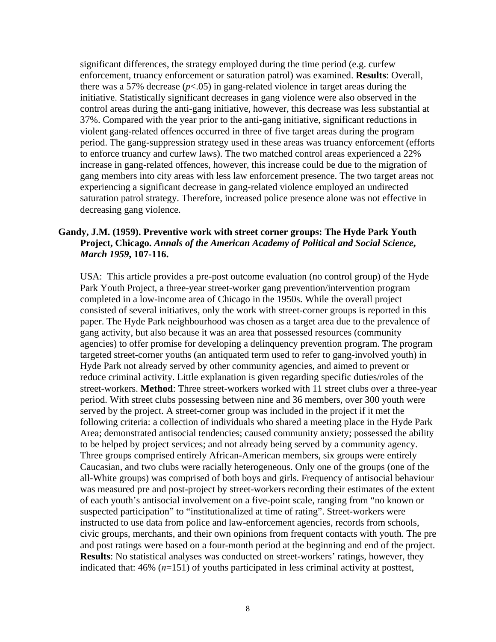significant differences, the strategy employed during the time period (e.g. curfew enforcement, truancy enforcement or saturation patrol) was examined. **Results**: Overall, there was a 57% decrease  $(p<0.05)$  in gang-related violence in target areas during the initiative. Statistically significant decreases in gang violence were also observed in the control areas during the anti-gang initiative, however, this decrease was less substantial at 37%. Compared with the year prior to the anti-gang initiative, significant reductions in violent gang-related offences occurred in three of five target areas during the program period. The gang-suppression strategy used in these areas was truancy enforcement (efforts to enforce truancy and curfew laws). The two matched control areas experienced a 22% increase in gang-related offences, however, this increase could be due to the migration of gang members into city areas with less law enforcement presence. The two target areas not experiencing a significant decrease in gang-related violence employed an undirected saturation patrol strategy. Therefore, increased police presence alone was not effective in decreasing gang violence.

## **Gandy, J.M. (1959). Preventive work with street corner groups: The Hyde Park Youth Project, Chicago.** *Annals of the American Academy of Political and Social Science***,** *March 1959***, 107-116.**

USA: This article provides a pre-post outcome evaluation (no control group) of the Hyde Park Youth Project, a three-year street-worker gang prevention/intervention program completed in a low-income area of Chicago in the 1950s. While the overall project consisted of several initiatives, only the work with street-corner groups is reported in this paper. The Hyde Park neighbourhood was chosen as a target area due to the prevalence of gang activity, but also because it was an area that possessed resources (community agencies) to offer promise for developing a delinquency prevention program. The program targeted street-corner youths (an antiquated term used to refer to gang-involved youth) in Hyde Park not already served by other community agencies, and aimed to prevent or reduce criminal activity. Little explanation is given regarding specific duties/roles of the street-workers. **Method**: Three street-workers worked with 11 street clubs over a three-year period. With street clubs possessing between nine and 36 members, over 300 youth were served by the project. A street-corner group was included in the project if it met the following criteria: a collection of individuals who shared a meeting place in the Hyde Park Area; demonstrated antisocial tendencies; caused community anxiety; possessed the ability to be helped by project services; and not already being served by a community agency. Three groups comprised entirely African-American members, six groups were entirely Caucasian, and two clubs were racially heterogeneous. Only one of the groups (one of the all-White groups) was comprised of both boys and girls. Frequency of antisocial behaviour was measured pre and post-project by street-workers recording their estimates of the extent of each youth's antisocial involvement on a five-point scale, ranging from "no known or suspected participation" to "institutionalized at time of rating". Street-workers were instructed to use data from police and law-enforcement agencies, records from schools, civic groups, merchants, and their own opinions from frequent contacts with youth. The pre and post ratings were based on a four-month period at the beginning and end of the project. **Results**: No statistical analyses was conducted on street-workers' ratings, however, they indicated that: 46% (*n*=151) of youths participated in less criminal activity at posttest,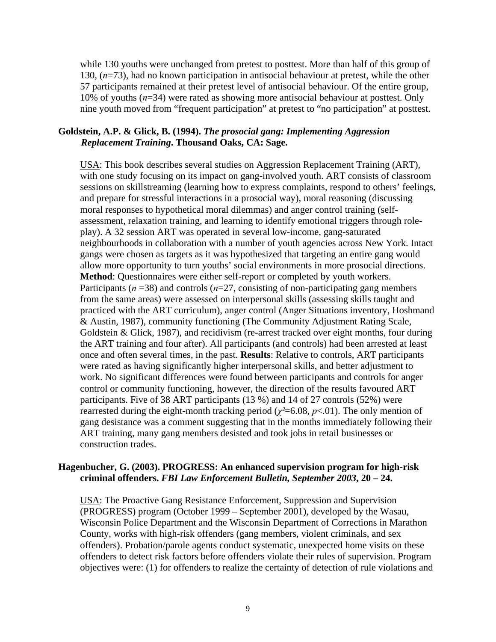while 130 youths were unchanged from pretest to posttest. More than half of this group of 130, (*n*=73), had no known participation in antisocial behaviour at pretest, while the other 57 participants remained at their pretest level of antisocial behaviour. Of the entire group, 10% of youths (*n*=34) were rated as showing more antisocial behaviour at posttest. Only nine youth moved from "frequent participation" at pretest to "no participation" at posttest.

#### **Goldstein, A.P. & Glick, B. (1994).** *The prosocial gang: Implementing Aggression Replacement Training***. Thousand Oaks, CA: Sage.**

USA: This book describes several studies on Aggression Replacement Training (ART), with one study focusing on its impact on gang-involved youth. ART consists of classroom sessions on skillstreaming (learning how to express complaints, respond to others' feelings, and prepare for stressful interactions in a prosocial way), moral reasoning (discussing moral responses to hypothetical moral dilemmas) and anger control training (selfassessment, relaxation training, and learning to identify emotional triggers through roleplay). A 32 session ART was operated in several low-income, gang-saturated neighbourhoods in collaboration with a number of youth agencies across New York. Intact gangs were chosen as targets as it was hypothesized that targeting an entire gang would allow more opportunity to turn youths' social environments in more prosocial directions. **Method**: Questionnaires were either self-report or completed by youth workers. Participants ( $n = 38$ ) and controls ( $n = 27$ , consisting of non-participating gang members from the same areas) were assessed on interpersonal skills (assessing skills taught and practiced with the ART curriculum), anger control (Anger Situations inventory, Hoshmand & Austin, 1987), community functioning (The Community Adjustment Rating Scale, Goldstein & Glick, 1987), and recidivism (re-arrest tracked over eight months, four during the ART training and four after). All participants (and controls) had been arrested at least once and often several times, in the past. **Results**: Relative to controls, ART participants were rated as having significantly higher interpersonal skills, and better adjustment to work. No significant differences were found between participants and controls for anger control or community functioning, however, the direction of the results favoured ART participants. Five of 38 ART participants (13 %) and 14 of 27 controls (52%) were rearrested during the eight-month tracking period ( $\chi^2$ =6.08, *p*<.01). The only mention of gang desistance was a comment suggesting that in the months immediately following their ART training, many gang members desisted and took jobs in retail businesses or construction trades.

#### **Hagenbucher, G. (2003). PROGRESS: An enhanced supervision program for high-risk criminal offenders.** *FBI Law Enforcement Bulletin, September 2003***, 20 – 24.**

USA: The Proactive Gang Resistance Enforcement, Suppression and Supervision (PROGRESS) program (October 1999 – September 2001), developed by the Wasau, Wisconsin Police Department and the Wisconsin Department of Corrections in Marathon County, works with high-risk offenders (gang members, violent criminals, and sex offenders). Probation/parole agents conduct systematic, unexpected home visits on these offenders to detect risk factors before offenders violate their rules of supervision. Program objectives were: (1) for offenders to realize the certainty of detection of rule violations and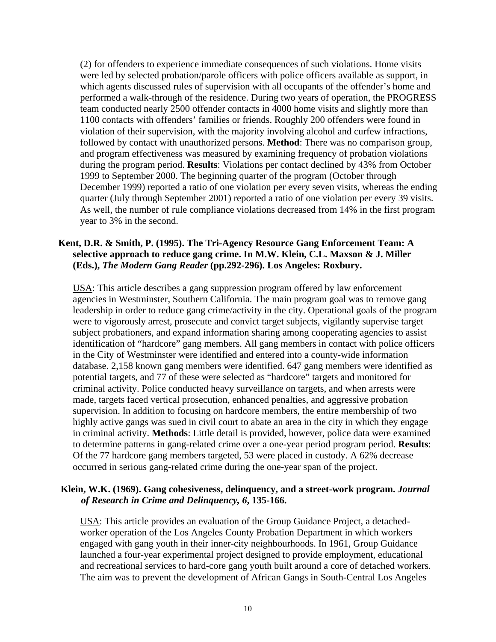(2) for offenders to experience immediate consequences of such violations. Home visits were led by selected probation/parole officers with police officers available as support, in which agents discussed rules of supervision with all occupants of the offender's home and performed a walk-through of the residence. During two years of operation, the PROGRESS team conducted nearly 2500 offender contacts in 4000 home visits and slightly more than 1100 contacts with offenders' families or friends. Roughly 200 offenders were found in violation of their supervision, with the majority involving alcohol and curfew infractions, followed by contact with unauthorized persons. **Method**: There was no comparison group, and program effectiveness was measured by examining frequency of probation violations during the program period. **Results**: Violations per contact declined by 43% from October 1999 to September 2000. The beginning quarter of the program (October through December 1999) reported a ratio of one violation per every seven visits, whereas the ending quarter (July through September 2001) reported a ratio of one violation per every 39 visits. As well, the number of rule compliance violations decreased from 14% in the first program year to 3% in the second.

#### **Kent, D.R. & Smith, P. (1995). The Tri-Agency Resource Gang Enforcement Team: A selective approach to reduce gang crime. In M.W. Klein, C.L. Maxson & J. Miller (Eds.),** *The Modern Gang Reader* **(pp.292-296). Los Angeles: Roxbury.**

USA: This article describes a gang suppression program offered by law enforcement agencies in Westminster, Southern California. The main program goal was to remove gang leadership in order to reduce gang crime/activity in the city. Operational goals of the program were to vigorously arrest, prosecute and convict target subjects, vigilantly supervise target subject probationers, and expand information sharing among cooperating agencies to assist identification of "hardcore" gang members. All gang members in contact with police officers in the City of Westminster were identified and entered into a county-wide information database. 2,158 known gang members were identified. 647 gang members were identified as potential targets, and 77 of these were selected as "hardcore" targets and monitored for criminal activity. Police conducted heavy surveillance on targets, and when arrests were made, targets faced vertical prosecution, enhanced penalties, and aggressive probation supervision. In addition to focusing on hardcore members, the entire membership of two highly active gangs was sued in civil court to abate an area in the city in which they engage in criminal activity. **Methods**: Little detail is provided, however, police data were examined to determine patterns in gang-related crime over a one-year period program period. **Results**: Of the 77 hardcore gang members targeted, 53 were placed in custody. A 62% decrease occurred in serious gang-related crime during the one-year span of the project.

#### **Klein, W.K. (1969). Gang cohesiveness, delinquency, and a street-work program.** *Journal of Research in Crime and Delinquency, 6***, 135-166.**

USA: This article provides an evaluation of the Group Guidance Project, a detachedworker operation of the Los Angeles County Probation Department in which workers engaged with gang youth in their inner-city neighbourhoods. In 1961, Group Guidance launched a four-year experimental project designed to provide employment, educational and recreational services to hard-core gang youth built around a core of detached workers. The aim was to prevent the development of African Gangs in South-Central Los Angeles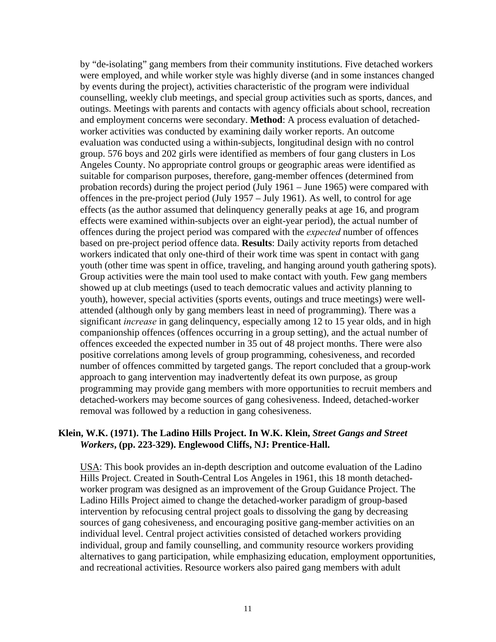by "de-isolating" gang members from their community institutions. Five detached workers were employed, and while worker style was highly diverse (and in some instances changed by events during the project), activities characteristic of the program were individual counselling, weekly club meetings, and special group activities such as sports, dances, and outings. Meetings with parents and contacts with agency officials about school, recreation and employment concerns were secondary. **Method**: A process evaluation of detachedworker activities was conducted by examining daily worker reports. An outcome evaluation was conducted using a within-subjects, longitudinal design with no control group. 576 boys and 202 girls were identified as members of four gang clusters in Los Angeles County. No appropriate control groups or geographic areas were identified as suitable for comparison purposes, therefore, gang-member offences (determined from probation records) during the project period (July 1961 – June 1965) were compared with offences in the pre-project period (July 1957 – July 1961). As well, to control for age effects (as the author assumed that delinquency generally peaks at age 16, and program effects were examined within-subjects over an eight-year period), the actual number of offences during the project period was compared with the *expected* number of offences based on pre-project period offence data. **Results**: Daily activity reports from detached workers indicated that only one-third of their work time was spent in contact with gang youth (other time was spent in office, traveling, and hanging around youth gathering spots). Group activities were the main tool used to make contact with youth. Few gang members showed up at club meetings (used to teach democratic values and activity planning to youth), however, special activities (sports events, outings and truce meetings) were wellattended (although only by gang members least in need of programming). There was a significant *increase* in gang delinquency, especially among 12 to 15 year olds, and in high companionship offences (offences occurring in a group setting), and the actual number of offences exceeded the expected number in 35 out of 48 project months. There were also positive correlations among levels of group programming, cohesiveness, and recorded number of offences committed by targeted gangs. The report concluded that a group-work approach to gang intervention may inadvertently defeat its own purpose, as group programming may provide gang members with more opportunities to recruit members and detached-workers may become sources of gang cohesiveness. Indeed, detached-worker removal was followed by a reduction in gang cohesiveness.

#### **Klein, W.K. (1971). The Ladino Hills Project. In W.K. Klein,** *Street Gangs and Street Workers***, (pp. 223-329). Englewood Cliffs, NJ: Prentice-Hall.**

USA: This book provides an in-depth description and outcome evaluation of the Ladino Hills Project. Created in South-Central Los Angeles in 1961, this 18 month detachedworker program was designed as an improvement of the Group Guidance Project. The Ladino Hills Project aimed to change the detached-worker paradigm of group-based intervention by refocusing central project goals to dissolving the gang by decreasing sources of gang cohesiveness, and encouraging positive gang-member activities on an individual level. Central project activities consisted of detached workers providing individual, group and family counselling, and community resource workers providing alternatives to gang participation, while emphasizing education, employment opportunities, and recreational activities. Resource workers also paired gang members with adult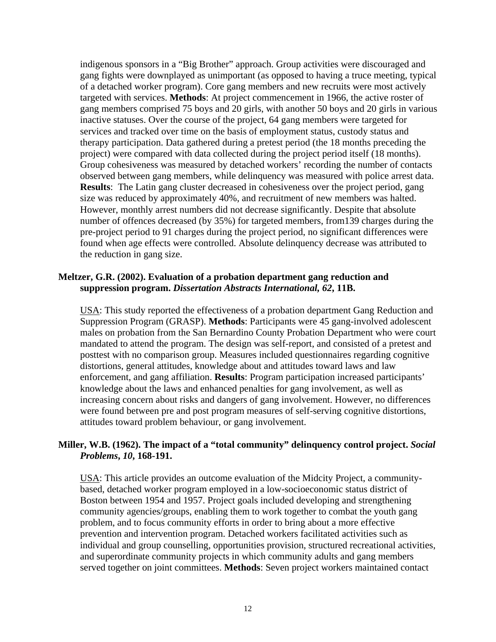indigenous sponsors in a "Big Brother" approach. Group activities were discouraged and gang fights were downplayed as unimportant (as opposed to having a truce meeting, typical of a detached worker program). Core gang members and new recruits were most actively targeted with services. **Methods**: At project commencement in 1966, the active roster of gang members comprised 75 boys and 20 girls, with another 50 boys and 20 girls in various inactive statuses. Over the course of the project, 64 gang members were targeted for services and tracked over time on the basis of employment status, custody status and therapy participation. Data gathered during a pretest period (the 18 months preceding the project) were compared with data collected during the project period itself (18 months). Group cohesiveness was measured by detached workers' recording the number of contacts observed between gang members, while delinquency was measured with police arrest data. **Results**: The Latin gang cluster decreased in cohesiveness over the project period, gang size was reduced by approximately 40%, and recruitment of new members was halted. However, monthly arrest numbers did not decrease significantly. Despite that absolute number of offences decreased (by 35%) for targeted members, from139 charges during the pre-project period to 91 charges during the project period, no significant differences were found when age effects were controlled. Absolute delinquency decrease was attributed to the reduction in gang size.

## **Meltzer, G.R. (2002). Evaluation of a probation department gang reduction and suppression program.** *Dissertation Abstracts International, 62***, 11B.**

USA: This study reported the effectiveness of a probation department Gang Reduction and Suppression Program (GRASP). **Methods**: Participants were 45 gang-involved adolescent males on probation from the San Bernardino County Probation Department who were court mandated to attend the program. The design was self-report, and consisted of a pretest and posttest with no comparison group. Measures included questionnaires regarding cognitive distortions, general attitudes, knowledge about and attitudes toward laws and law enforcement, and gang affiliation. **Results**: Program participation increased participants' knowledge about the laws and enhanced penalties for gang involvement, as well as increasing concern about risks and dangers of gang involvement. However, no differences were found between pre and post program measures of self-serving cognitive distortions, attitudes toward problem behaviour, or gang involvement.

# **Miller, W.B. (1962). The impact of a "total community" delinquency control project.** *Social Problems***,** *10***, 168-191.**

USA: This article provides an outcome evaluation of the Midcity Project, a communitybased, detached worker program employed in a low-socioeconomic status district of Boston between 1954 and 1957. Project goals included developing and strengthening community agencies/groups, enabling them to work together to combat the youth gang problem, and to focus community efforts in order to bring about a more effective prevention and intervention program. Detached workers facilitated activities such as individual and group counselling, opportunities provision, structured recreational activities, and superordinate community projects in which community adults and gang members served together on joint committees. **Methods**: Seven project workers maintained contact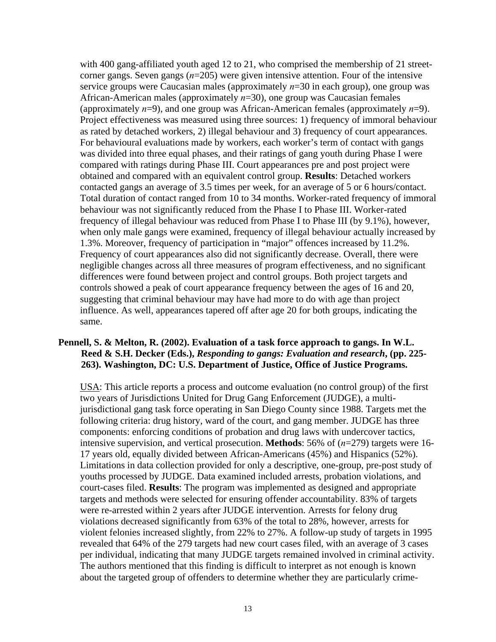with 400 gang-affiliated youth aged 12 to 21, who comprised the membership of 21 streetcorner gangs. Seven gangs (*n*=205) were given intensive attention. Four of the intensive service groups were Caucasian males (approximately *n*=30 in each group), one group was African-American males (approximately *n*=30), one group was Caucasian females (approximately *n*=9), and one group was African-American females (approximately *n*=9). Project effectiveness was measured using three sources: 1) frequency of immoral behaviour as rated by detached workers, 2) illegal behaviour and 3) frequency of court appearances. For behavioural evaluations made by workers, each worker's term of contact with gangs was divided into three equal phases, and their ratings of gang youth during Phase I were compared with ratings during Phase III. Court appearances pre and post project were obtained and compared with an equivalent control group. **Results**: Detached workers contacted gangs an average of 3.5 times per week, for an average of 5 or 6 hours/contact. Total duration of contact ranged from 10 to 34 months. Worker-rated frequency of immoral behaviour was not significantly reduced from the Phase I to Phase III. Worker-rated frequency of illegal behaviour was reduced from Phase I to Phase III (by 9.1%), however, when only male gangs were examined, frequency of illegal behaviour actually increased by 1.3%. Moreover, frequency of participation in "major" offences increased by 11.2%. Frequency of court appearances also did not significantly decrease. Overall, there were negligible changes across all three measures of program effectiveness, and no significant differences were found between project and control groups. Both project targets and controls showed a peak of court appearance frequency between the ages of 16 and 20, suggesting that criminal behaviour may have had more to do with age than project influence. As well, appearances tapered off after age 20 for both groups, indicating the same.

#### **Pennell, S. & Melton, R. (2002). Evaluation of a task force approach to gangs. In W.L. Reed & S.H. Decker (Eds.),** *Responding to gangs: Evaluation and research***, (pp. 225- 263). Washington, DC: U.S. Department of Justice, Office of Justice Programs.**

USA: This article reports a process and outcome evaluation (no control group) of the first two years of Jurisdictions United for Drug Gang Enforcement (JUDGE), a multijurisdictional gang task force operating in San Diego County since 1988. Targets met the following criteria: drug history, ward of the court, and gang member. JUDGE has three components: enforcing conditions of probation and drug laws with undercover tactics, intensive supervision, and vertical prosecution. **Methods**: 56% of (*n*=279) targets were 16- 17 years old, equally divided between African-Americans (45%) and Hispanics (52%). Limitations in data collection provided for only a descriptive, one-group, pre-post study of youths processed by JUDGE. Data examined included arrests, probation violations, and court-cases filed. **Results**: The program was implemented as designed and appropriate targets and methods were selected for ensuring offender accountability. 83% of targets were re-arrested within 2 years after JUDGE intervention. Arrests for felony drug violations decreased significantly from 63% of the total to 28%, however, arrests for violent felonies increased slightly, from 22% to 27%. A follow-up study of targets in 1995 revealed that 64% of the 279 targets had new court cases filed, with an average of 3 cases per individual, indicating that many JUDGE targets remained involved in criminal activity. The authors mentioned that this finding is difficult to interpret as not enough is known about the targeted group of offenders to determine whether they are particularly crime-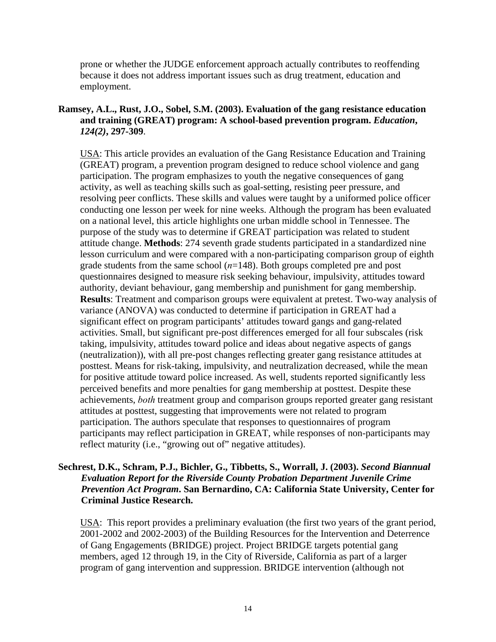prone or whether the JUDGE enforcement approach actually contributes to reoffending because it does not address important issues such as drug treatment, education and employment.

## **Ramsey, A.L., Rust, J.O., Sobel, S.M. (2003). Evaluation of the gang resistance education and training (GREAT) program: A school-based prevention program.** *Education***,** *124(2)***, 297-309**.

USA: This article provides an evaluation of the Gang Resistance Education and Training (GREAT) program, a prevention program designed to reduce school violence and gang participation. The program emphasizes to youth the negative consequences of gang activity, as well as teaching skills such as goal-setting, resisting peer pressure, and resolving peer conflicts. These skills and values were taught by a uniformed police officer conducting one lesson per week for nine weeks. Although the program has been evaluated on a national level, this article highlights one urban middle school in Tennessee. The purpose of the study was to determine if GREAT participation was related to student attitude change. **Methods**: 274 seventh grade students participated in a standardized nine lesson curriculum and were compared with a non-participating comparison group of eighth grade students from the same school (*n*=148). Both groups completed pre and post questionnaires designed to measure risk seeking behaviour, impulsivity, attitudes toward authority, deviant behaviour, gang membership and punishment for gang membership. **Results**: Treatment and comparison groups were equivalent at pretest. Two-way analysis of variance (ANOVA) was conducted to determine if participation in GREAT had a significant effect on program participants' attitudes toward gangs and gang-related activities. Small, but significant pre-post differences emerged for all four subscales (risk taking, impulsivity, attitudes toward police and ideas about negative aspects of gangs (neutralization)), with all pre-post changes reflecting greater gang resistance attitudes at posttest. Means for risk-taking, impulsivity, and neutralization decreased, while the mean for positive attitude toward police increased. As well, students reported significantly less perceived benefits and more penalties for gang membership at posttest. Despite these achievements, *both* treatment group and comparison groups reported greater gang resistant attitudes at posttest, suggesting that improvements were not related to program participation. The authors speculate that responses to questionnaires of program participants may reflect participation in GREAT, while responses of non-participants may reflect maturity (i.e., "growing out of" negative attitudes).

#### **Sechrest, D.K., Schram, P.J., Bichler, G., Tibbetts, S., Worrall, J. (2003).** *Second Biannual Evaluation Report for the Riverside County Probation Department Juvenile Crime Prevention Act Program***. San Bernardino, CA: California State University, Center for Criminal Justice Research.**

USA: This report provides a preliminary evaluation (the first two years of the grant period, 2001-2002 and 2002-2003) of the Building Resources for the Intervention and Deterrence of Gang Engagements (BRIDGE) project. Project BRIDGE targets potential gang members, aged 12 through 19, in the City of Riverside, California as part of a larger program of gang intervention and suppression. BRIDGE intervention (although not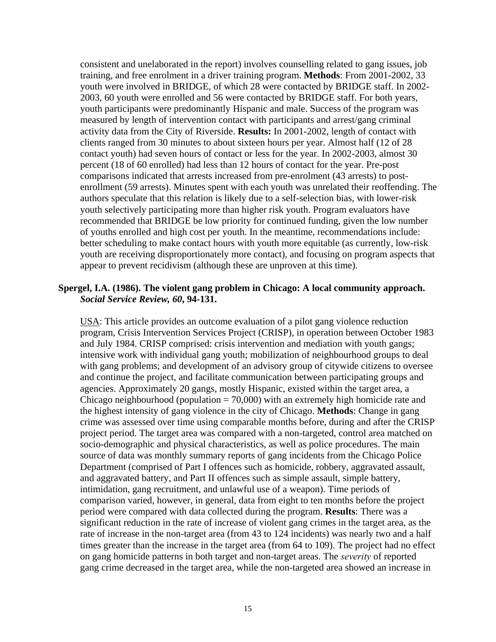consistent and unelaborated in the report) involves counselling related to gang issues, job training, and free enrolment in a driver training program. **Methods**: From 2001-2002, 33 youth were involved in BRIDGE, of which 28 were contacted by BRIDGE staff. In 2002- 2003, 60 youth were enrolled and 56 were contacted by BRIDGE staff. For both years, youth participants were predominantly Hispanic and male. Success of the program was measured by length of intervention contact with participants and arrest/gang criminal activity data from the City of Riverside. **Results:** In 2001-2002, length of contact with clients ranged from 30 minutes to about sixteen hours per year. Almost half (12 of 28 contact youth) had seven hours of contact or less for the year. In 2002-2003, almost 30 percent (18 of 60 enrolled) had less than 12 hours of contact for the year. Pre-post comparisons indicated that arrests increased from pre-enrolment (43 arrests) to postenrollment (59 arrests). Minutes spent with each youth was unrelated their reoffending. The authors speculate that this relation is likely due to a self-selection bias, with lower-risk youth selectively participating more than higher risk youth. Program evaluators have recommended that BRIDGE be low priority for continued funding, given the low number of youths enrolled and high cost per youth. In the meantime, recommendations include: better scheduling to make contact hours with youth more equitable (as currently, low-risk youth are receiving disproportionately more contact), and focusing on program aspects that appear to prevent recidivism (although these are unproven at this time).

#### **Spergel, I.A. (1986). The violent gang problem in Chicago: A local community approach.**  *Social Service Review, 60***, 94-131.**

USA: This article provides an outcome evaluation of a pilot gang violence reduction program, Crisis Intervention Services Project (CRISP), in operation between October 1983 and July 1984. CRISP comprised: crisis intervention and mediation with youth gangs; intensive work with individual gang youth; mobilization of neighbourhood groups to deal with gang problems; and development of an advisory group of citywide citizens to oversee and continue the project, and facilitate communication between participating groups and agencies. Approximately 20 gangs, mostly Hispanic, existed within the target area, a Chicago neighbourhood (population  $= 70,000$ ) with an extremely high homicide rate and the highest intensity of gang violence in the city of Chicago. **Methods**: Change in gang crime was assessed over time using comparable months before, during and after the CRISP project period. The target area was compared with a non-targeted, control area matched on socio-demographic and physical characteristics, as well as police procedures. The main source of data was monthly summary reports of gang incidents from the Chicago Police Department (comprised of Part I offences such as homicide, robbery, aggravated assault, and aggravated battery, and Part II offences such as simple assault, simple battery, intimidation, gang recruitment, and unlawful use of a weapon). Time periods of comparison varied, however, in general, data from eight to ten months before the project period were compared with data collected during the program. **Results**: There was a significant reduction in the rate of increase of violent gang crimes in the target area, as the rate of increase in the non-target area (from 43 to 124 incidents) was nearly two and a half times greater than the increase in the target area (from 64 to 109). The project had no effect on gang homicide patterns in both target and non-target areas. The *severity* of reported gang crime decreased in the target area, while the non-targeted area showed an increase in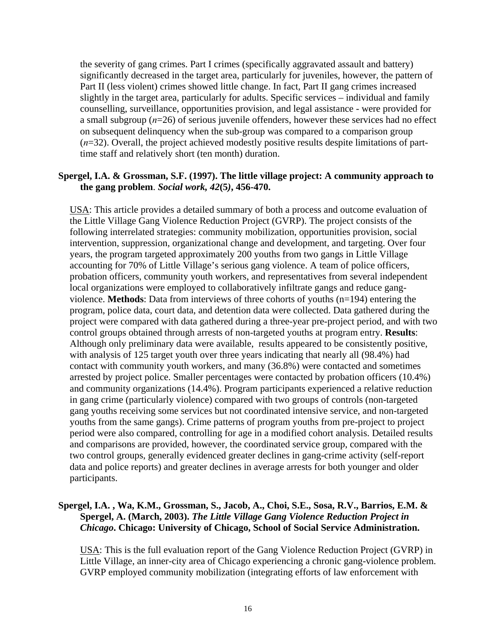the severity of gang crimes. Part I crimes (specifically aggravated assault and battery) significantly decreased in the target area, particularly for juveniles, however, the pattern of Part II (less violent) crimes showed little change. In fact, Part II gang crimes increased slightly in the target area, particularly for adults. Specific services – individual and family counselling, surveillance, opportunities provision, and legal assistance - were provided for a small subgroup (*n*=26) of serious juvenile offenders, however these services had no effect on subsequent delinquency when the sub-group was compared to a comparison group (*n*=32). Overall, the project achieved modestly positive results despite limitations of parttime staff and relatively short (ten month) duration.

#### **Spergel, I.A. & Grossman, S.F. (1997). The little village project: A community approach to the gang problem**. *Social work, 42***(5***)***, 456-470.**

USA: This article provides a detailed summary of both a process and outcome evaluation of the Little Village Gang Violence Reduction Project (GVRP). The project consists of the following interrelated strategies: community mobilization, opportunities provision, social intervention, suppression, organizational change and development, and targeting. Over four years, the program targeted approximately 200 youths from two gangs in Little Village accounting for 70% of Little Village's serious gang violence. A team of police officers, probation officers, community youth workers, and representatives from several independent local organizations were employed to collaboratively infiltrate gangs and reduce gangviolence. **Methods**: Data from interviews of three cohorts of youths (n=194) entering the program, police data, court data, and detention data were collected. Data gathered during the project were compared with data gathered during a three-year pre-project period, and with two control groups obtained through arrests of non-targeted youths at program entry. **Results**: Although only preliminary data were available, results appeared to be consistently positive, with analysis of 125 target youth over three years indicating that nearly all (98.4%) had contact with community youth workers, and many (36.8%) were contacted and sometimes arrested by project police. Smaller percentages were contacted by probation officers (10.4%) and community organizations (14.4%). Program participants experienced a relative reduction in gang crime (particularly violence) compared with two groups of controls (non-targeted gang youths receiving some services but not coordinated intensive service, and non-targeted youths from the same gangs). Crime patterns of program youths from pre-project to project period were also compared, controlling for age in a modified cohort analysis. Detailed results and comparisons are provided, however, the coordinated service group, compared with the two control groups, generally evidenced greater declines in gang-crime activity (self-report data and police reports) and greater declines in average arrests for both younger and older participants.

#### **Spergel, I.A. , Wa, K.M., Grossman, S., Jacob, A., Choi, S.E., Sosa, R.V., Barrios, E.M. & Spergel, A. (March, 2003).** *The Little Village Gang Violence Reduction Project in Chicago***. Chicago: University of Chicago, School of Social Service Administration.**

USA: This is the full evaluation report of the Gang Violence Reduction Project (GVRP) in Little Village, an inner-city area of Chicago experiencing a chronic gang-violence problem. GVRP employed community mobilization (integrating efforts of law enforcement with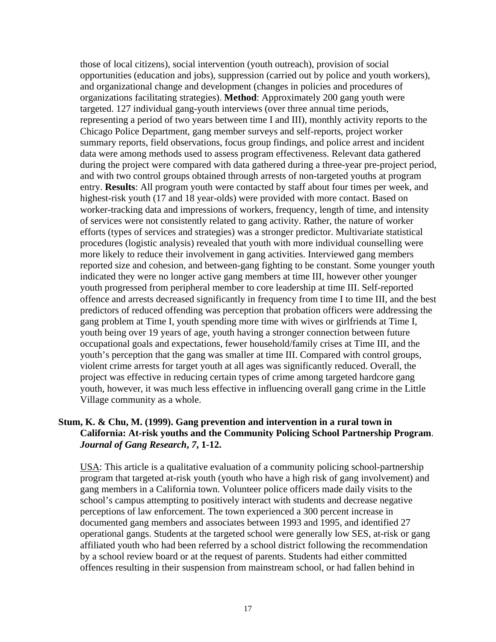those of local citizens), social intervention (youth outreach), provision of social opportunities (education and jobs), suppression (carried out by police and youth workers), and organizational change and development (changes in policies and procedures of organizations facilitating strategies). **Method**: Approximately 200 gang youth were targeted. 127 individual gang-youth interviews (over three annual time periods, representing a period of two years between time I and III), monthly activity reports to the Chicago Police Department, gang member surveys and self-reports, project worker summary reports, field observations, focus group findings, and police arrest and incident data were among methods used to assess program effectiveness. Relevant data gathered during the project were compared with data gathered during a three-year pre-project period, and with two control groups obtained through arrests of non-targeted youths at program entry. **Results**: All program youth were contacted by staff about four times per week, and highest-risk youth (17 and 18 year-olds) were provided with more contact. Based on worker-tracking data and impressions of workers, frequency, length of time, and intensity of services were not consistently related to gang activity. Rather, the nature of worker efforts (types of services and strategies) was a stronger predictor. Multivariate statistical procedures (logistic analysis) revealed that youth with more individual counselling were more likely to reduce their involvement in gang activities. Interviewed gang members reported size and cohesion, and between-gang fighting to be constant. Some younger youth indicated they were no longer active gang members at time III, however other younger youth progressed from peripheral member to core leadership at time III. Self-reported offence and arrests decreased significantly in frequency from time I to time III, and the best predictors of reduced offending was perception that probation officers were addressing the gang problem at Time I, youth spending more time with wives or girlfriends at Time I, youth being over 19 years of age, youth having a stronger connection between future occupational goals and expectations, fewer household/family crises at Time III, and the youth's perception that the gang was smaller at time III. Compared with control groups, violent crime arrests for target youth at all ages was significantly reduced. Overall, the project was effective in reducing certain types of crime among targeted hardcore gang youth, however, it was much less effective in influencing overall gang crime in the Little Village community as a whole.

#### **Stum, K. & Chu, M. (1999). Gang prevention and intervention in a rural town in California: At-risk youths and the Community Policing School Partnership Program**. *Journal of Gang Research***,** *7***, 1-12.**

USA: This article is a qualitative evaluation of a community policing school-partnership program that targeted at-risk youth (youth who have a high risk of gang involvement) and gang members in a California town. Volunteer police officers made daily visits to the school's campus attempting to positively interact with students and decrease negative perceptions of law enforcement. The town experienced a 300 percent increase in documented gang members and associates between 1993 and 1995, and identified 27 operational gangs. Students at the targeted school were generally low SES, at-risk or gang affiliated youth who had been referred by a school district following the recommendation by a school review board or at the request of parents. Students had either committed offences resulting in their suspension from mainstream school, or had fallen behind in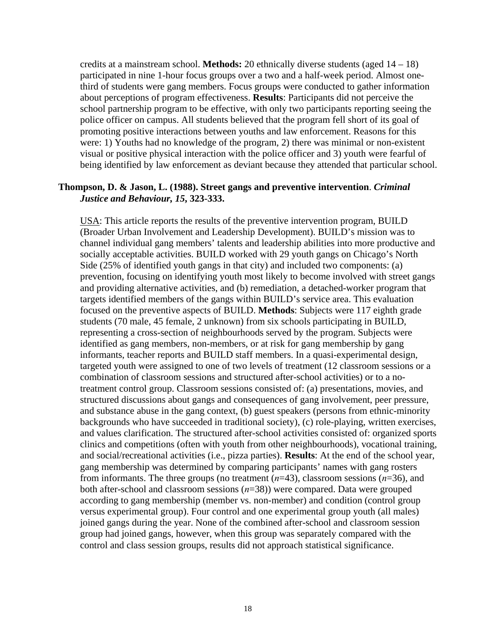credits at a mainstream school. **Methods:** 20 ethnically diverse students (aged 14 – 18) participated in nine 1-hour focus groups over a two and a half-week period. Almost onethird of students were gang members. Focus groups were conducted to gather information about perceptions of program effectiveness. **Results**: Participants did not perceive the school partnership program to be effective, with only two participants reporting seeing the police officer on campus. All students believed that the program fell short of its goal of promoting positive interactions between youths and law enforcement. Reasons for this were: 1) Youths had no knowledge of the program, 2) there was minimal or non-existent visual or positive physical interaction with the police officer and 3) youth were fearful of being identified by law enforcement as deviant because they attended that particular school.

#### **Thompson, D. & Jason, L. (1988). Street gangs and preventive intervention**. *Criminal Justice and Behaviour, 15***, 323-333.**

USA: This article reports the results of the preventive intervention program, BUILD (Broader Urban Involvement and Leadership Development). BUILD's mission was to channel individual gang members' talents and leadership abilities into more productive and socially acceptable activities. BUILD worked with 29 youth gangs on Chicago's North Side (25% of identified youth gangs in that city) and included two components: (a) prevention, focusing on identifying youth most likely to become involved with street gangs and providing alternative activities, and (b) remediation, a detached-worker program that targets identified members of the gangs within BUILD's service area. This evaluation focused on the preventive aspects of BUILD. **Methods**: Subjects were 117 eighth grade students (70 male, 45 female, 2 unknown) from six schools participating in BUILD, representing a cross-section of neighbourhoods served by the program. Subjects were identified as gang members, non-members, or at risk for gang membership by gang informants, teacher reports and BUILD staff members. In a quasi-experimental design, targeted youth were assigned to one of two levels of treatment (12 classroom sessions or a combination of classroom sessions and structured after-school activities) or to a notreatment control group. Classroom sessions consisted of: (a) presentations, movies, and structured discussions about gangs and consequences of gang involvement, peer pressure, and substance abuse in the gang context, (b) guest speakers (persons from ethnic-minority backgrounds who have succeeded in traditional society), (c) role-playing, written exercises, and values clarification. The structured after-school activities consisted of: organized sports clinics and competitions (often with youth from other neighbourhoods), vocational training, and social/recreational activities (i.e., pizza parties). **Results**: At the end of the school year, gang membership was determined by comparing participants' names with gang rosters from informants. The three groups (no treatment (*n*=43), classroom sessions (*n*=36), and both after-school and classroom sessions (*n*=38)) were compared. Data were grouped according to gang membership (member vs. non-member) and condition (control group versus experimental group). Four control and one experimental group youth (all males) joined gangs during the year. None of the combined after-school and classroom session group had joined gangs, however, when this group was separately compared with the control and class session groups, results did not approach statistical significance.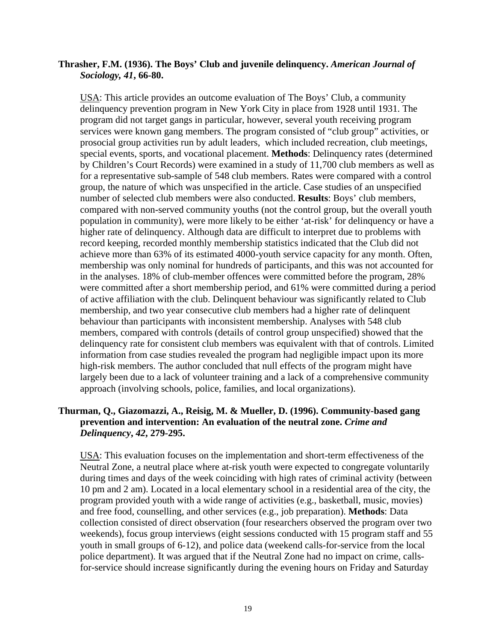#### **Thrasher, F.M. (1936). The Boys' Club and juvenile delinquency.** *American Journal of Sociology, 41***, 66-80.**

USA: This article provides an outcome evaluation of The Boys' Club, a community delinquency prevention program in New York City in place from 1928 until 1931. The program did not target gangs in particular, however, several youth receiving program services were known gang members. The program consisted of "club group" activities, or prosocial group activities run by adult leaders, which included recreation, club meetings, special events, sports, and vocational placement. **Methods**: Delinquency rates (determined by Children's Court Records) were examined in a study of 11,700 club members as well as for a representative sub-sample of 548 club members. Rates were compared with a control group, the nature of which was unspecified in the article. Case studies of an unspecified number of selected club members were also conducted. **Results**: Boys' club members, compared with non-served community youths (not the control group, but the overall youth population in community), were more likely to be either 'at-risk' for delinquency or have a higher rate of delinquency. Although data are difficult to interpret due to problems with record keeping, recorded monthly membership statistics indicated that the Club did not achieve more than 63% of its estimated 4000-youth service capacity for any month. Often, membership was only nominal for hundreds of participants, and this was not accounted for in the analyses. 18% of club-member offences were committed before the program, 28% were committed after a short membership period, and 61% were committed during a period of active affiliation with the club. Delinquent behaviour was significantly related to Club membership, and two year consecutive club members had a higher rate of delinquent behaviour than participants with inconsistent membership. Analyses with 548 club members, compared with controls (details of control group unspecified) showed that the delinquency rate for consistent club members was equivalent with that of controls. Limited information from case studies revealed the program had negligible impact upon its more high-risk members. The author concluded that null effects of the program might have largely been due to a lack of volunteer training and a lack of a comprehensive community approach (involving schools, police, families, and local organizations).

#### **Thurman, Q., Giazomazzi, A., Reisig, M. & Mueller, D. (1996). Community-based gang prevention and intervention: An evaluation of the neutral zone.** *Crime and Delinquency***,** *42***, 279-295.**

USA: This evaluation focuses on the implementation and short-term effectiveness of the Neutral Zone, a neutral place where at-risk youth were expected to congregate voluntarily during times and days of the week coinciding with high rates of criminal activity (between 10 pm and 2 am). Located in a local elementary school in a residential area of the city, the program provided youth with a wide range of activities (e.g., basketball, music, movies) and free food, counselling, and other services (e.g., job preparation). **Methods**: Data collection consisted of direct observation (four researchers observed the program over two weekends), focus group interviews (eight sessions conducted with 15 program staff and 55 youth in small groups of 6-12), and police data (weekend calls-for-service from the local police department). It was argued that if the Neutral Zone had no impact on crime, callsfor-service should increase significantly during the evening hours on Friday and Saturday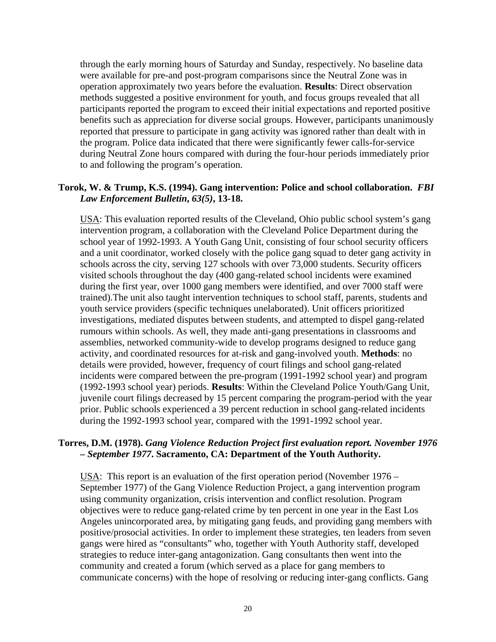through the early morning hours of Saturday and Sunday, respectively. No baseline data were available for pre-and post-program comparisons since the Neutral Zone was in operation approximately two years before the evaluation. **Results**: Direct observation methods suggested a positive environment for youth, and focus groups revealed that all participants reported the program to exceed their initial expectations and reported positive benefits such as appreciation for diverse social groups. However, participants unanimously reported that pressure to participate in gang activity was ignored rather than dealt with in the program. Police data indicated that there were significantly fewer calls-for-service during Neutral Zone hours compared with during the four-hour periods immediately prior to and following the program's operation.

#### **Torok, W. & Trump, K.S. (1994). Gang intervention: Police and school collaboration.** *FBI Law Enforcement Bulletin***,** *63(5)***, 13-18.**

USA: This evaluation reported results of the Cleveland, Ohio public school system's gang intervention program, a collaboration with the Cleveland Police Department during the school year of 1992-1993. A Youth Gang Unit, consisting of four school security officers and a unit coordinator, worked closely with the police gang squad to deter gang activity in schools across the city, serving 127 schools with over 73,000 students. Security officers visited schools throughout the day (400 gang-related school incidents were examined during the first year, over 1000 gang members were identified, and over 7000 staff were trained).The unit also taught intervention techniques to school staff, parents, students and youth service providers (specific techniques unelaborated). Unit officers prioritized investigations, mediated disputes between students, and attempted to dispel gang-related rumours within schools. As well, they made anti-gang presentations in classrooms and assemblies, networked community-wide to develop programs designed to reduce gang activity, and coordinated resources for at-risk and gang-involved youth. **Methods**: no details were provided, however, frequency of court filings and school gang-related incidents were compared between the pre-program (1991-1992 school year) and program (1992-1993 school year) periods. **Results**: Within the Cleveland Police Youth/Gang Unit, juvenile court filings decreased by 15 percent comparing the program-period with the year prior. Public schools experienced a 39 percent reduction in school gang-related incidents during the 1992-1993 school year, compared with the 1991-1992 school year.

#### **Torres, D.M. (1978).** *Gang Violence Reduction Project first evaluation report. November 1976 – September 1977***. Sacramento, CA: Department of the Youth Authority.**

USA: This report is an evaluation of the first operation period (November 1976 – September 1977) of the Gang Violence Reduction Project, a gang intervention program using community organization, crisis intervention and conflict resolution. Program objectives were to reduce gang-related crime by ten percent in one year in the East Los Angeles unincorporated area, by mitigating gang feuds, and providing gang members with positive/prosocial activities. In order to implement these strategies, ten leaders from seven gangs were hired as "consultants" who, together with Youth Authority staff, developed strategies to reduce inter-gang antagonization. Gang consultants then went into the community and created a forum (which served as a place for gang members to communicate concerns) with the hope of resolving or reducing inter-gang conflicts. Gang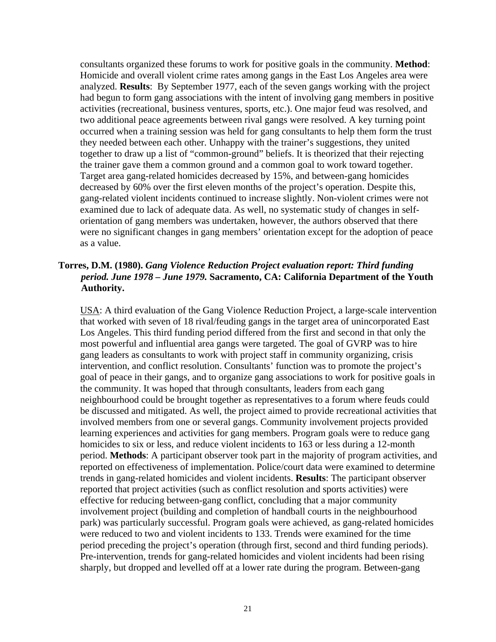consultants organized these forums to work for positive goals in the community. **Method**: Homicide and overall violent crime rates among gangs in the East Los Angeles area were analyzed. **Results**: By September 1977, each of the seven gangs working with the project had begun to form gang associations with the intent of involving gang members in positive activities (recreational, business ventures, sports, etc.). One major feud was resolved, and two additional peace agreements between rival gangs were resolved. A key turning point occurred when a training session was held for gang consultants to help them form the trust they needed between each other. Unhappy with the trainer's suggestions, they united together to draw up a list of "common-ground" beliefs. It is theorized that their rejecting the trainer gave them a common ground and a common goal to work toward together. Target area gang-related homicides decreased by 15%, and between-gang homicides decreased by 60% over the first eleven months of the project's operation. Despite this, gang-related violent incidents continued to increase slightly. Non-violent crimes were not examined due to lack of adequate data. As well, no systematic study of changes in selforientation of gang members was undertaken, however, the authors observed that there were no significant changes in gang members' orientation except for the adoption of peace as a value.

### **Torres, D.M. (1980).** *Gang Violence Reduction Project evaluation report: Third funding period. June 1978 – June 1979.* **Sacramento, CA: California Department of the Youth Authority.**

USA: A third evaluation of the Gang Violence Reduction Project, a large-scale intervention that worked with seven of 18 rival/feuding gangs in the target area of unincorporated East Los Angeles. This third funding period differed from the first and second in that only the most powerful and influential area gangs were targeted. The goal of GVRP was to hire gang leaders as consultants to work with project staff in community organizing, crisis intervention, and conflict resolution. Consultants' function was to promote the project's goal of peace in their gangs, and to organize gang associations to work for positive goals in the community. It was hoped that through consultants, leaders from each gang neighbourhood could be brought together as representatives to a forum where feuds could be discussed and mitigated. As well, the project aimed to provide recreational activities that involved members from one or several gangs. Community involvement projects provided learning experiences and activities for gang members. Program goals were to reduce gang homicides to six or less, and reduce violent incidents to 163 or less during a 12-month period. **Methods**: A participant observer took part in the majority of program activities, and reported on effectiveness of implementation. Police/court data were examined to determine trends in gang-related homicides and violent incidents. **Results**: The participant observer reported that project activities (such as conflict resolution and sports activities) were effective for reducing between-gang conflict, concluding that a major community involvement project (building and completion of handball courts in the neighbourhood park) was particularly successful. Program goals were achieved, as gang-related homicides were reduced to two and violent incidents to 133. Trends were examined for the time period preceding the project's operation (through first, second and third funding periods). Pre-intervention, trends for gang-related homicides and violent incidents had been rising sharply, but dropped and levelled off at a lower rate during the program. Between-gang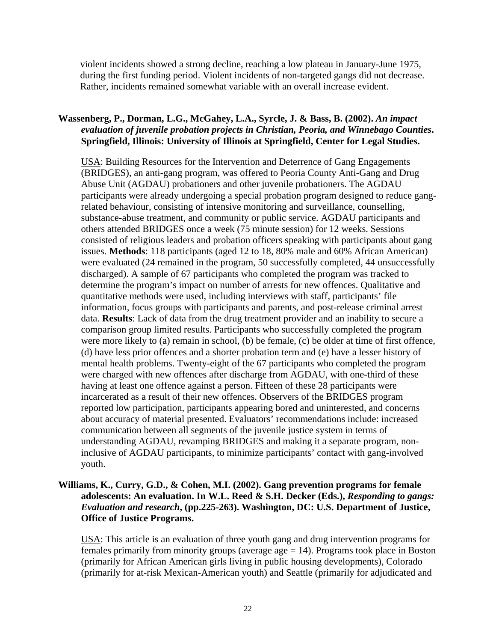violent incidents showed a strong decline, reaching a low plateau in January-June 1975, during the first funding period. Violent incidents of non-targeted gangs did not decrease. Rather, incidents remained somewhat variable with an overall increase evident.

## **Wassenberg, P., Dorman, L.G., McGahey, L.A., Syrcle, J. & Bass, B. (2002).** *An impact evaluation of juvenile probation projects in Christian, Peoria, and Winnebago Counties***. Springfield, Illinois: University of Illinois at Springfield, Center for Legal Studies.**

USA: Building Resources for the Intervention and Deterrence of Gang Engagements (BRIDGES), an anti-gang program, was offered to Peoria County Anti-Gang and Drug Abuse Unit (AGDAU) probationers and other juvenile probationers. The AGDAU participants were already undergoing a special probation program designed to reduce gangrelated behaviour, consisting of intensive monitoring and surveillance, counselling, substance-abuse treatment, and community or public service. AGDAU participants and others attended BRIDGES once a week (75 minute session) for 12 weeks. Sessions consisted of religious leaders and probation officers speaking with participants about gang issues. **Methods**: 118 participants (aged 12 to 18, 80% male and 60% African American) were evaluated (24 remained in the program, 50 successfully completed, 44 unsuccessfully discharged). A sample of 67 participants who completed the program was tracked to determine the program's impact on number of arrests for new offences. Qualitative and quantitative methods were used, including interviews with staff, participants' file information, focus groups with participants and parents, and post-release criminal arrest data. **Results**: Lack of data from the drug treatment provider and an inability to secure a comparison group limited results. Participants who successfully completed the program were more likely to (a) remain in school, (b) be female, (c) be older at time of first offence, (d) have less prior offences and a shorter probation term and (e) have a lesser history of mental health problems. Twenty-eight of the 67 participants who completed the program were charged with new offences after discharge from AGDAU, with one-third of these having at least one offence against a person. Fifteen of these 28 participants were incarcerated as a result of their new offences. Observers of the BRIDGES program reported low participation, participants appearing bored and uninterested, and concerns about accuracy of material presented. Evaluators' recommendations include: increased communication between all segments of the juvenile justice system in terms of understanding AGDAU, revamping BRIDGES and making it a separate program, noninclusive of AGDAU participants, to minimize participants' contact with gang-involved youth.

#### **Williams, K., Curry, G.D., & Cohen, M.I. (2002). Gang prevention programs for female adolescents: An evaluation. In W.L. Reed & S.H. Decker (Eds.),** *Responding to gangs: Evaluation and research***, (pp.225-263). Washington, DC: U.S. Department of Justice, Office of Justice Programs.**

USA: This article is an evaluation of three youth gang and drug intervention programs for females primarily from minority groups (average  $age = 14$ ). Programs took place in Boston (primarily for African American girls living in public housing developments), Colorado (primarily for at-risk Mexican-American youth) and Seattle (primarily for adjudicated and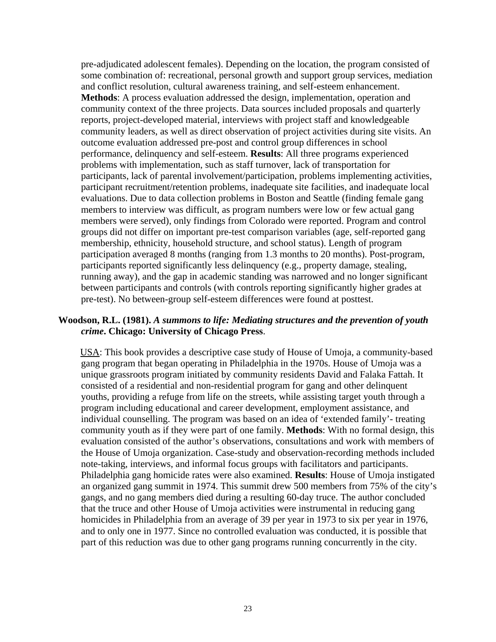pre-adjudicated adolescent females). Depending on the location, the program consisted of some combination of: recreational, personal growth and support group services, mediation and conflict resolution, cultural awareness training, and self-esteem enhancement. **Methods**: A process evaluation addressed the design, implementation, operation and community context of the three projects. Data sources included proposals and quarterly reports, project-developed material, interviews with project staff and knowledgeable community leaders, as well as direct observation of project activities during site visits. An outcome evaluation addressed pre-post and control group differences in school performance, delinquency and self-esteem. **Results**: All three programs experienced problems with implementation, such as staff turnover, lack of transportation for participants, lack of parental involvement/participation, problems implementing activities, participant recruitment/retention problems, inadequate site facilities, and inadequate local evaluations. Due to data collection problems in Boston and Seattle (finding female gang members to interview was difficult, as program numbers were low or few actual gang members were served), only findings from Colorado were reported. Program and control groups did not differ on important pre-test comparison variables (age, self-reported gang membership, ethnicity, household structure, and school status). Length of program participation averaged 8 months (ranging from 1.3 months to 20 months). Post-program, participants reported significantly less delinquency (e.g., property damage, stealing, running away), and the gap in academic standing was narrowed and no longer significant between participants and controls (with controls reporting significantly higher grades at pre-test). No between-group self-esteem differences were found at posttest.

#### **Woodson, R.L. (1981).** *A summons to life: Mediating structures and the prevention of youth crime***. Chicago: University of Chicago Press**.

 USA: This book provides a descriptive case study of House of Umoja, a community-based gang program that began operating in Philadelphia in the 1970s. House of Umoja was a unique grassroots program initiated by community residents David and Falaka Fattah. It consisted of a residential and non-residential program for gang and other delinquent youths, providing a refuge from life on the streets, while assisting target youth through a program including educational and career development, employment assistance, and individual counselling. The program was based on an idea of 'extended family'- treating community youth as if they were part of one family. **Methods**: With no formal design, this evaluation consisted of the author's observations, consultations and work with members of the House of Umoja organization. Case-study and observation-recording methods included note-taking, interviews, and informal focus groups with facilitators and participants. Philadelphia gang homicide rates were also examined. **Results**: House of Umoja instigated an organized gang summit in 1974. This summit drew 500 members from 75% of the city's gangs, and no gang members died during a resulting 60-day truce. The author concluded that the truce and other House of Umoja activities were instrumental in reducing gang homicides in Philadelphia from an average of 39 per year in 1973 to six per year in 1976, and to only one in 1977. Since no controlled evaluation was conducted, it is possible that part of this reduction was due to other gang programs running concurrently in the city.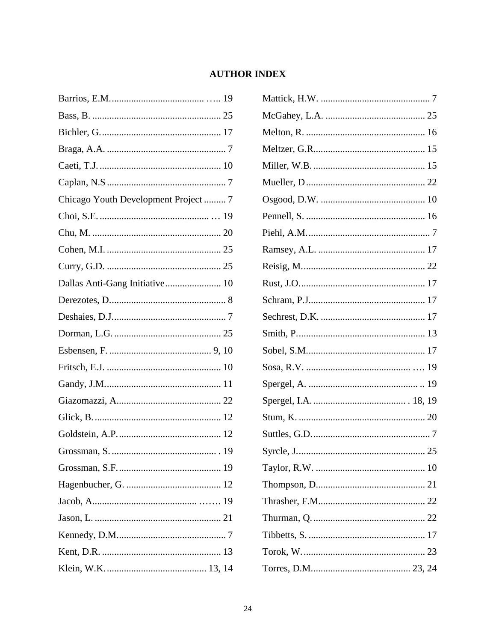# **AUTHOR INDEX**

<span id="page-25-0"></span>

| Chicago Youth Development Project  7 |  |
|--------------------------------------|--|
|                                      |  |
|                                      |  |
|                                      |  |
|                                      |  |
|                                      |  |
|                                      |  |
|                                      |  |
|                                      |  |
|                                      |  |
|                                      |  |
|                                      |  |
|                                      |  |
|                                      |  |
|                                      |  |
|                                      |  |
|                                      |  |
|                                      |  |
|                                      |  |
|                                      |  |
|                                      |  |
|                                      |  |
|                                      |  |

| $\dots 25$ |
|------------|
|            |
|            |
|            |
|            |
|            |
|            |
|            |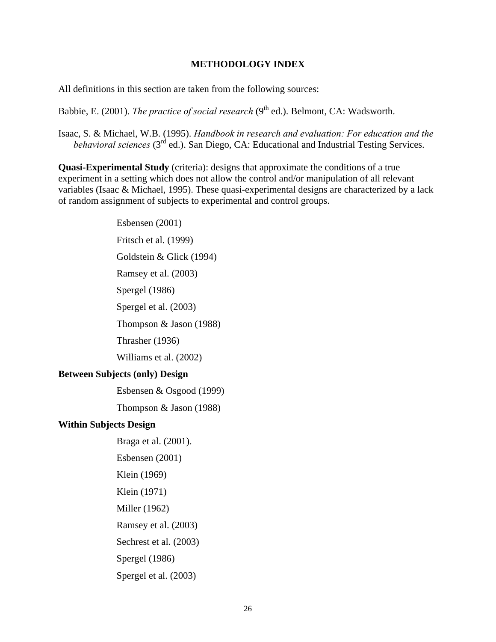#### **METHODOLOGY INDEX**

<span id="page-27-0"></span>All definitions in this section are taken from the following sources:

Babbie, E. (2001). *The practice of social research* (9<sup>th</sup> ed.). Belmont, CA: Wadsworth.

Isaac, S. & Michael, W.B. (1995). *Handbook in research and evaluation: For education and the behavioral sciences* (3<sup>rd</sup> ed.). San Diego, CA: Educational and Industrial Testing Services.

**Quasi-Experimental Study** (criteria): designs that approximate the conditions of a true experiment in a setting which does not allow the control and/or manipulation of all relevant variables (Isaac & Michael, 1995). These quasi-experimental designs are characterized by a lack of random assignment of subjects to experimental and control groups.

 Esbensen (2001) Fritsch et al. (1999) Goldstein & Glick (1994) Ramsey et al. (2003) Spergel (1986) Spergel et al. (2003) Thompson & Jason (1988) Thrasher (1936) Williams et al. (2002) **Between Subjects (only) Design**  Esbensen & Osgood (1999) Thompson & Jason (1988) **Within Subjects Design** Braga et al. (2001). Esbensen (2001) Klein (1969) Klein (1971) Miller (1962) Ramsey et al. (2003) Sechrest et al. (2003) Spergel (1986) Spergel et al. (2003)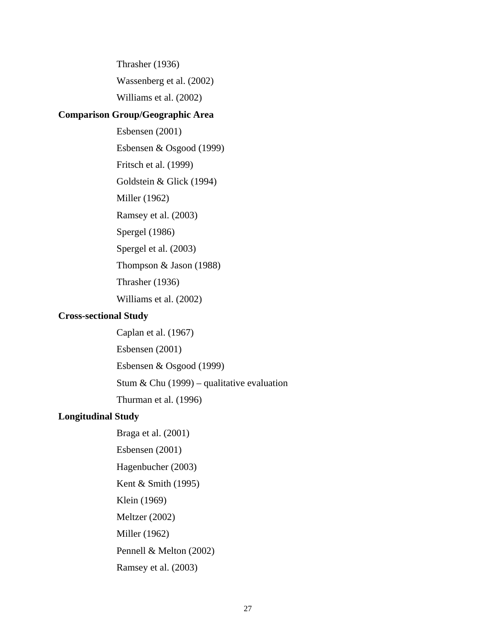Thrasher (1936) Wassenberg et al. (2002) Williams et al. (2002)

#### **Comparison Group/Geographic Area**

 Esbensen (2001) Esbensen & Osgood (1999) Fritsch et al. (1999) Goldstein & Glick (1994) Miller (1962) Ramsey et al. (2003) Spergel (1986) Spergel et al. (2003) Thompson & Jason (1988) Thrasher (1936) Williams et al. (2002)

#### **Cross-sectional Study**

 Caplan et al. (1967) Esbensen (2001) Esbensen & Osgood (1999) Stum & Chu  $(1999)$  – qualitative evaluation Thurman et al. (1996)

#### **Longitudinal Study**

 Braga et al. (2001) Esbensen (2001) Hagenbucher (2003) Kent & Smith (1995) Klein (1969) Meltzer (2002) Miller (1962) Pennell & Melton (2002) Ramsey et al. (2003)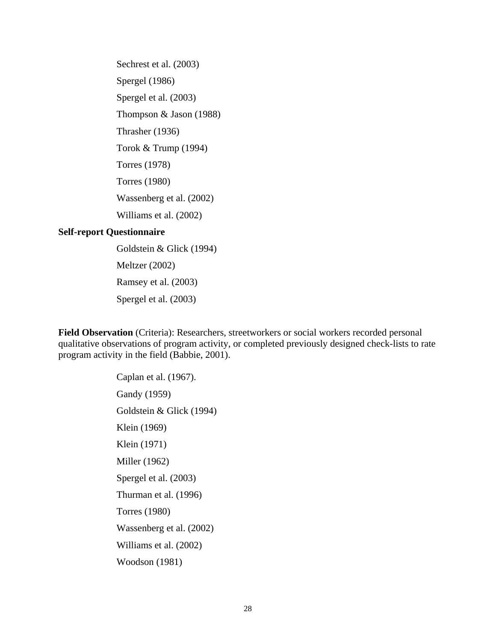Sechrest et al. (2003) Spergel (1986) Spergel et al. (2003) Thompson & Jason (1988) Thrasher (1936) Torok & Trump (1994) Torres (1978) Torres (1980) Wassenberg et al. (2002) Williams et al. (2002)

#### **Self-report Questionnaire**

 Goldstein & Glick (1994) Meltzer (2002) Ramsey et al. (2003) Spergel et al. (2003)

**Field Observation** (Criteria): Researchers, streetworkers or social workers recorded personal qualitative observations of program activity, or completed previously designed check-lists to rate program activity in the field (Babbie, 2001).

> Caplan et al. (1967). Gandy (1959) Goldstein & Glick (1994) Klein (1969) Klein (1971) Miller (1962) Spergel et al. (2003) Thurman et al. (1996) Torres (1980) Wassenberg et al. (2002) Williams et al. (2002) Woodson (1981)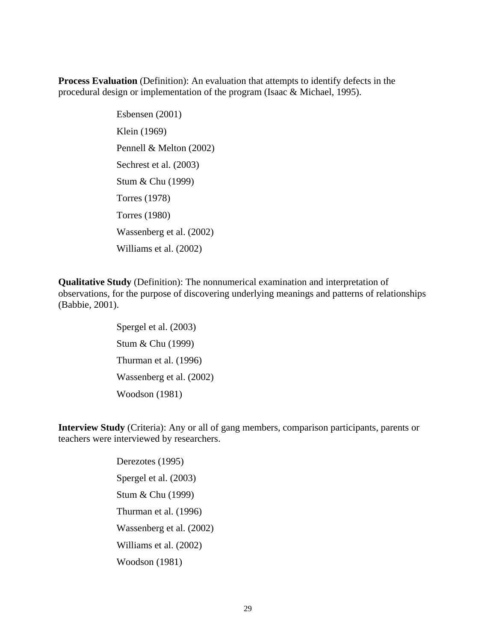**Process Evaluation** (Definition): An evaluation that attempts to identify defects in the procedural design or implementation of the program (Isaac & Michael, 1995).

> Esbensen (2001) Klein (1969) Pennell & Melton (2002) Sechrest et al. (2003) Stum & Chu (1999) Torres (1978) Torres (1980) Wassenberg et al. (2002) Williams et al. (2002)

**Qualitative Study** (Definition): The nonnumerical examination and interpretation of observations, for the purpose of discovering underlying meanings and patterns of relationships (Babbie, 2001).

> Spergel et al. (2003) Stum & Chu (1999) Thurman et al. (1996) Wassenberg et al. (2002) Woodson (1981)

**Interview Study** (Criteria): Any or all of gang members, comparison participants, parents or teachers were interviewed by researchers.

> Derezotes (1995) Spergel et al. (2003) Stum & Chu (1999) Thurman et al. (1996) Wassenberg et al. (2002) Williams et al. (2002) Woodson (1981)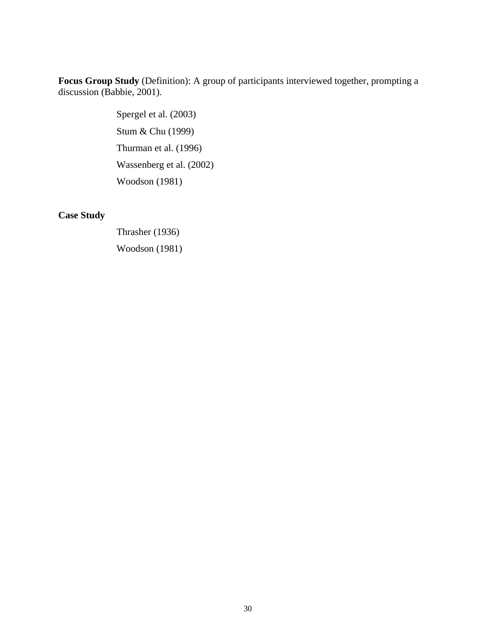**Focus Group Study** (Definition): A group of participants interviewed together, prompting a discussion (Babbie, 2001).

> Spergel et al. (2003) Stum & Chu (1999) Thurman et al. (1996) Wassenberg et al. (2002) Woodson (1981)

# **Case Study**

 Thrasher (1936) Woodson (1981)